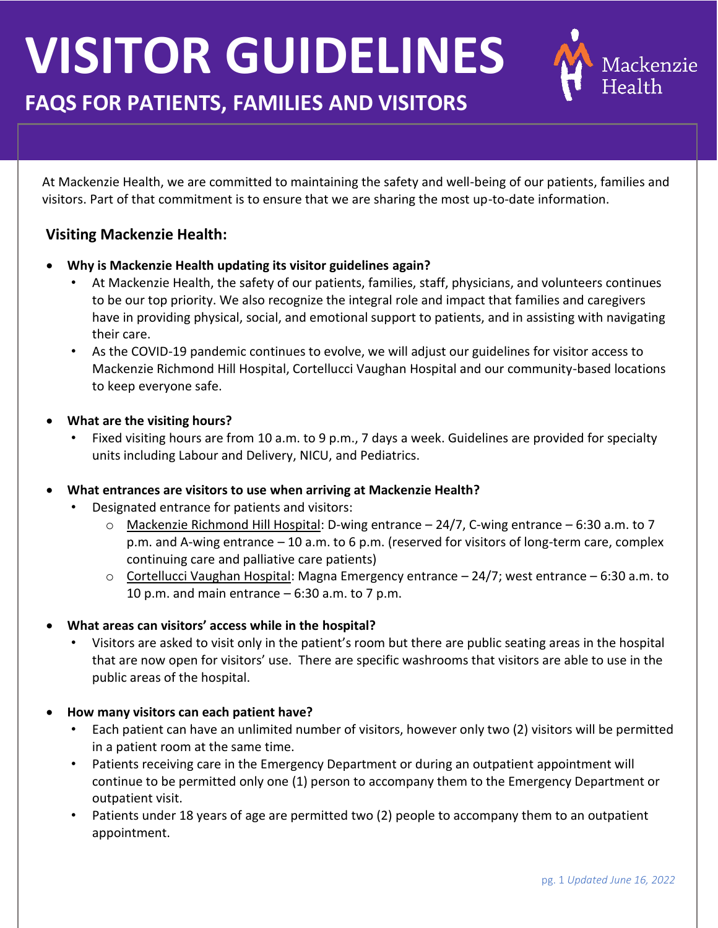

### **FAQS FOR PATIENTS, FAMILIES AND VISITORS**

At Mackenzie Health, we are committed to maintaining the safety and well-being of our patients, families and visitors. Part of that commitment is to ensure that we are sharing the most up-to-date information.

### **Visiting Mackenzie Health:**

- **Why is Mackenzie Health updating its visitor guidelines again?**
	- At Mackenzie Health, the safety of our patients, families, staff, physicians, and volunteers continues to be our top priority. We also recognize the integral role and impact that families and caregivers have in providing physical, social, and emotional support to patients, and in assisting with navigating their care.
	- As the COVID-19 pandemic continues to evolve, we will adjust our guidelines for visitor access to Mackenzie Richmond Hill Hospital, Cortellucci Vaughan Hospital and our community-based locations to keep everyone safe.
- **What are the visiting hours?**
	- Fixed visiting hours are from 10 a.m. to 9 p.m., 7 days a week. Guidelines are provided for specialty units including Labour and Delivery, NICU, and Pediatrics.
- **What entrances are visitors to use when arriving at Mackenzie Health?**
	- Designated entrance for patients and visitors:
		- o Mackenzie Richmond Hill Hospital: D-wing entrance 24/7, C-wing entrance 6:30 a.m. to 7 p.m. and A-wing entrance – 10 a.m. to 6 p.m. (reserved for visitors of long-term care, complex continuing care and palliative care patients)
		- o Cortellucci Vaughan Hospital: Magna Emergency entrance 24/7; west entrance 6:30 a.m. to 10 p.m. and main entrance  $-6:30$  a.m. to 7 p.m.
- **What areas can visitors' access while in the hospital?**
	- Visitors are asked to visit only in the patient's room but there are public seating areas in the hospital that are now open for visitors' use. There are specific washrooms that visitors are able to use in the public areas of the hospital.
- **How many visitors can each patient have?** 
	- Each patient can have an unlimited number of visitors, however only two (2) visitors will be permitted in a patient room at the same time.
	- Patients receiving care in the Emergency Department or during an outpatient appointment will continue to be permitted only one (1) person to accompany them to the Emergency Department or outpatient visit.
	- Patients under 18 years of age are permitted two (2) people to accompany them to an outpatient appointment.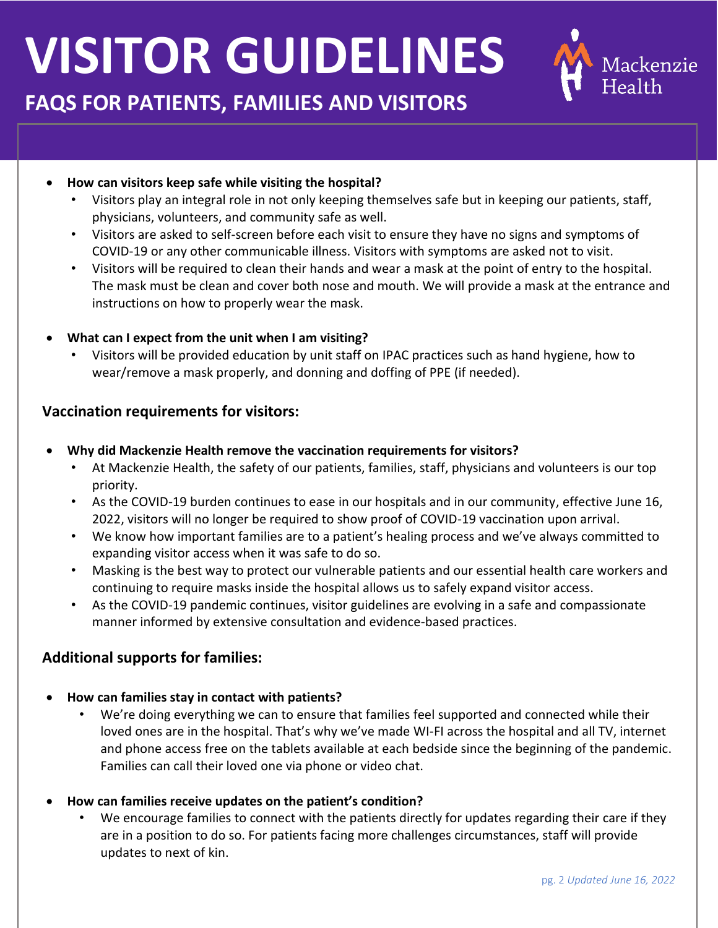

## **FAQS FOR PATIENTS, FAMILIES AND VISITORS**

- **How can visitors keep safe while visiting the hospital?**
	- Visitors play an integral role in not only keeping themselves safe but in keeping our patients, staff, physicians, volunteers, and community safe as well.
	- Visitors are asked to self-screen before each visit to ensure they have no signs and symptoms of COVID-19 or any other communicable illness. Visitors with symptoms are asked not to visit.
	- Visitors will be required to clean their hands and wear a mask at the point of entry to the hospital. The mask must be clean and cover both nose and mouth. We will provide a mask at the entrance and instructions on how to properly wear the mask.
- **What can I expect from the unit when I am visiting?**
	- Visitors will be provided education by unit staff on IPAC practices such as hand hygiene, how to wear/remove a mask properly, and donning and doffing of PPE (if needed).

### **Vaccination requirements for visitors:**

- **Why did Mackenzie Health remove the vaccination requirements for visitors?**
	- At Mackenzie Health, the safety of our patients, families, staff, physicians and volunteers is our top priority.
	- As the COVID-19 burden continues to ease in our hospitals and in our community, effective June 16, 2022, visitors will no longer be required to show proof of COVID-19 vaccination upon arrival.
	- We know how important families are to a patient's healing process and we've always committed to expanding visitor access when it was safe to do so.
	- Masking is the best way to protect our vulnerable patients and our essential health care workers and continuing to require masks inside the hospital allows us to safely expand visitor access.
	- As the COVID-19 pandemic continues, visitor guidelines are evolving in a safe and compassionate manner informed by extensive consultation and evidence-based practices.

### **Additional supports for families:**

- **How can families stay in contact with patients?**
	- We're doing everything we can to ensure that families feel supported and connected while their loved ones are in the hospital. That's why we've made WI-FI across the hospital and all TV, internet and phone access free on the tablets available at each bedside since the beginning of the pandemic. Families can call their loved one via phone or video chat.
- **How can families receive updates on the patient's condition?**
	- We encourage families to connect with the patients directly for updates regarding their care if they are in a position to do so. For patients facing more challenges circumstances, staff will provide updates to next of kin.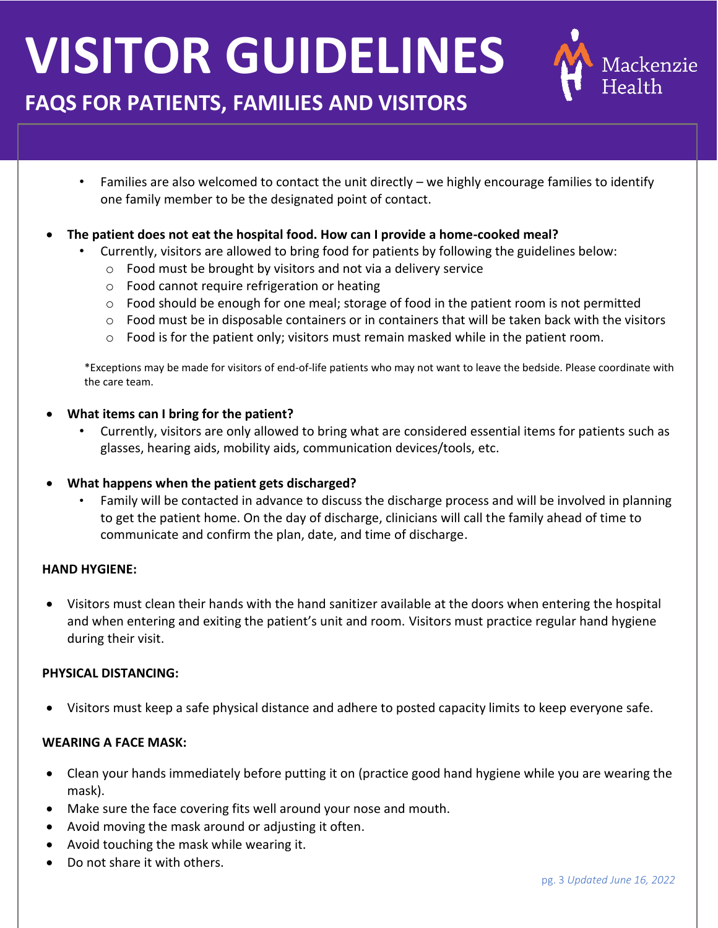

## **FAQS FOR PATIENTS, FAMILIES AND VISITORS**

• Families are also welcomed to contact the unit directly – we highly encourage families to identify one family member to be the designated point of contact.

#### • **The patient does not eat the hospital food. How can I provide a home-cooked meal?**

- Currently, visitors are allowed to bring food for patients by following the guidelines below:
	- o Food must be brought by visitors and not via a delivery service
	- o Food cannot require refrigeration or heating
	- o Food should be enough for one meal; storage of food in the patient room is not permitted
	- $\circ$  Food must be in disposable containers or in containers that will be taken back with the visitors
	- $\circ$  Food is for the patient only; visitors must remain masked while in the patient room.

\*Exceptions may be made for visitors of end-of-life patients who may not want to leave the bedside. Please coordinate with the care team.

#### • **What items can I bring for the patient?**

• Currently, visitors are only allowed to bring what are considered essential items for patients such as glasses, hearing aids, mobility aids, communication devices/tools, etc.

#### • **What happens when the patient gets discharged?**

• Family will be contacted in advance to discuss the discharge process and will be involved in planning to get the patient home. On the day of discharge, clinicians will call the family ahead of time to communicate and confirm the plan, date, and time of discharge.

#### **HAND HYGIENE:**

• Visitors must clean their hands with the hand sanitizer available at the doors when entering the hospital and when entering and exiting the patient's unit and room. Visitors must practice regular hand hygiene during their visit.

#### **PHYSICAL DISTANCING:**

• Visitors must keep a safe physical distance and adhere to posted capacity limits to keep everyone safe.

#### **WEARING A FACE MASK:**

- Clean your hands immediately before putting it on (practice good hand hygiene while you are wearing the mask).
- Make sure the face covering fits well around your nose and mouth.
- Avoid moving the mask around or adjusting it often.
- Avoid touching the mask while wearing it.
- Do not share it with others.